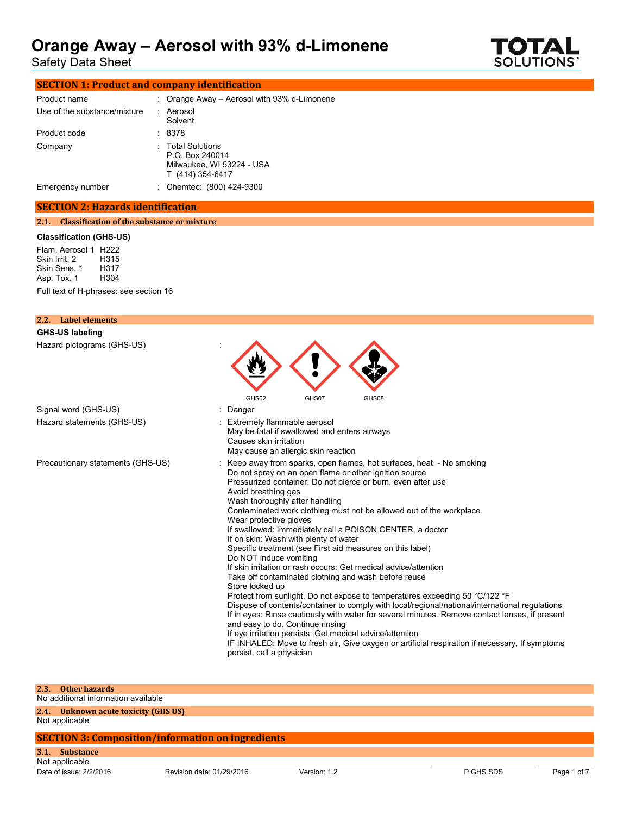Safety Data Sheet



| <b>SECTION 1: Product and company identification</b> |  |                                                                                       |  |
|------------------------------------------------------|--|---------------------------------------------------------------------------------------|--|
| Product name                                         |  | : Orange Away - Aerosol with 93% d-Limonene                                           |  |
| Use of the substance/mixture                         |  | : Aerosol<br>Solvent                                                                  |  |
| Product code                                         |  | : 8378                                                                                |  |
| Company                                              |  | : Total Solutions<br>P.O. Box 240014<br>Milwaukee, WI 53224 - USA<br>T (414) 354-6417 |  |
| Emergency number                                     |  | : Chemtec: (800) 424-9300                                                             |  |

## **SECTION 2: Hazards identification**

### **2.1. Classification of the substance or mixture**

### **Classification (GHS-US)**

Flam. Aerosol 1 H222<br>Skin Irrit. 2 H315 Skin Irrit. 2 H315 Skin Sens. 1 H317<br>Asp. Tox. 1 H304 Asp. Tox. 1 Full text of H-phrases: see section 16

| 2.2. Label elements               |                                                                                                                                                                                                                                                                                                                                                                                                                                                                                                                                                                                                                                                                                                                                                                                                                                                                                                                                                                                                                                                                                                                                                                                                                        |
|-----------------------------------|------------------------------------------------------------------------------------------------------------------------------------------------------------------------------------------------------------------------------------------------------------------------------------------------------------------------------------------------------------------------------------------------------------------------------------------------------------------------------------------------------------------------------------------------------------------------------------------------------------------------------------------------------------------------------------------------------------------------------------------------------------------------------------------------------------------------------------------------------------------------------------------------------------------------------------------------------------------------------------------------------------------------------------------------------------------------------------------------------------------------------------------------------------------------------------------------------------------------|
| <b>GHS-US labeling</b>            |                                                                                                                                                                                                                                                                                                                                                                                                                                                                                                                                                                                                                                                                                                                                                                                                                                                                                                                                                                                                                                                                                                                                                                                                                        |
| Hazard pictograms (GHS-US)        |                                                                                                                                                                                                                                                                                                                                                                                                                                                                                                                                                                                                                                                                                                                                                                                                                                                                                                                                                                                                                                                                                                                                                                                                                        |
| Signal word (GHS-US)              | GHS02<br>GHS07<br>GHS08<br>: Danger                                                                                                                                                                                                                                                                                                                                                                                                                                                                                                                                                                                                                                                                                                                                                                                                                                                                                                                                                                                                                                                                                                                                                                                    |
| Hazard statements (GHS-US)        | Extremely flammable aerosol<br>May be fatal if swallowed and enters airways<br>Causes skin irritation<br>May cause an allergic skin reaction                                                                                                                                                                                                                                                                                                                                                                                                                                                                                                                                                                                                                                                                                                                                                                                                                                                                                                                                                                                                                                                                           |
| Precautionary statements (GHS-US) | : Keep away from sparks, open flames, hot surfaces, heat. - No smoking<br>Do not spray on an open flame or other ignition source<br>Pressurized container: Do not pierce or burn, even after use<br>Avoid breathing gas<br>Wash thoroughly after handling<br>Contaminated work clothing must not be allowed out of the workplace<br>Wear protective gloves<br>If swallowed: Immediately call a POISON CENTER, a doctor<br>If on skin: Wash with plenty of water<br>Specific treatment (see First aid measures on this label)<br>Do NOT induce vomiting<br>If skin irritation or rash occurs: Get medical advice/attention<br>Take off contaminated clothing and wash before reuse<br>Store locked up<br>Protect from sunlight. Do not expose to temperatures exceeding 50 °C/122 °F<br>Dispose of contents/container to comply with local/regional/national/international regulations<br>If in eyes: Rinse cautiously with water for several minutes. Remove contact lenses, if present<br>and easy to do. Continue rinsing<br>If eye irritation persists: Get medical advice/attention<br>IF INHALED: Move to fresh air, Give oxygen or artificial respiration if necessary, If symptoms<br>persist, call a physician |

#### **2.3. Other hazards**

No additional information available

**2.4. Unknown acute toxicity (GHS US)**

Not applicable

### **SECTION 3: Composition/information on ingredients**

**3.1. Substance**

Date of issue:  $2/2/2016$  Revision date:  $01/29/2016$  Version: 1.2 P GHS SDS Page 1 of 7 Not applicable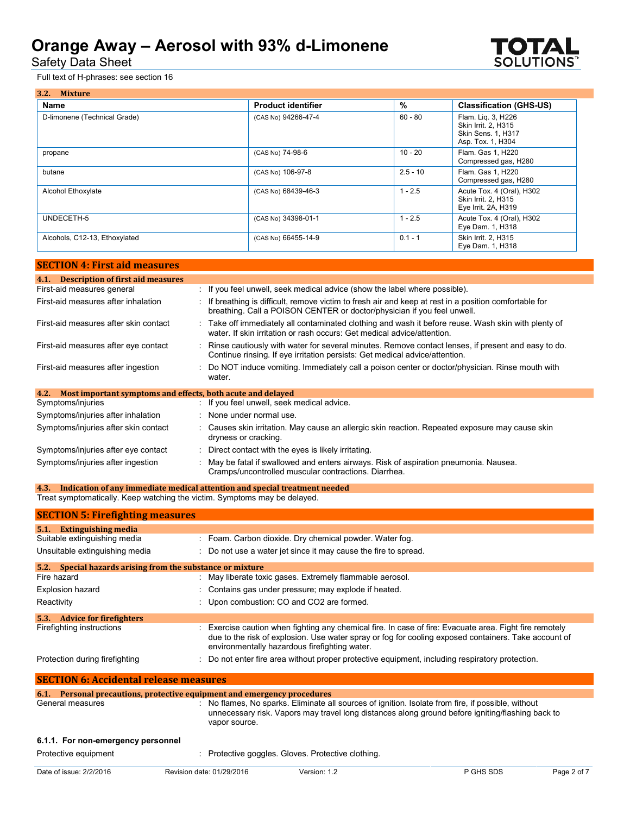Safety Data Sheet

Full text of H-phrases: see section 16

| 3.2. Mixture                  |                           |            |                                                                                             |
|-------------------------------|---------------------------|------------|---------------------------------------------------------------------------------------------|
| Name                          | <b>Product identifier</b> | %          | <b>Classification (GHS-US)</b>                                                              |
| D-limonene (Technical Grade)  | (CAS No) 94266-47-4       | $60 - 80$  | Flam. Lig. 3, H226<br>Skin Irrit. 2. H315<br><b>Skin Sens. 1, H317</b><br>Asp. Tox. 1, H304 |
| propane                       | (CAS No) 74-98-6          | $10 - 20$  | Flam. Gas 1, H220<br>Compressed gas, H280                                                   |
| butane                        | (CAS No) 106-97-8         | $2.5 - 10$ | Flam, Gas 1, H220<br>Compressed gas, H280                                                   |
| Alcohol Ethoxylate            | (CAS No) 68439-46-3       | $1 - 2.5$  | Acute Tox. 4 (Oral), H302<br>Skin Irrit. 2. H315<br>Eye Irrit. 2A, H319                     |
| UNDECETH-5                    | (CAS No) 34398-01-1       | $1 - 2.5$  | Acute Tox. 4 (Oral), H302<br>Eye Dam. 1, H318                                               |
| Alcohols, C12-13, Ethoxylated | (CAS No) 66455-14-9       | $0.1 - 1$  | Skin Irrit. 2, H315<br>Eye Dam. 1, H318                                                     |

| <b>SECTION 4: First aid measures</b>                                |                                                                                                                                                                                     |
|---------------------------------------------------------------------|-------------------------------------------------------------------------------------------------------------------------------------------------------------------------------------|
| 4.1. Description of first aid measures                              |                                                                                                                                                                                     |
| First-aid measures general                                          | : If you feel unwell, seek medical advice (show the label where possible).                                                                                                          |
| First-aid measures after inhalation                                 | If breathing is difficult, remove victim to fresh air and keep at rest in a position comfortable for<br>breathing. Call a POISON CENTER or doctor/physician if you feel unwell.     |
| First-aid measures after skin contact                               | : Take off immediately all contaminated clothing and wash it before reuse. Wash skin with plenty of<br>water. If skin irritation or rash occurs: Get medical advice/attention.      |
| First-aid measures after eye contact                                | : Rinse cautiously with water for several minutes. Remove contact lenses, if present and easy to do.<br>Continue rinsing. If eye irritation persists: Get medical advice/attention. |
| First-aid measures after ingestion                                  | : Do NOT induce vomiting. Immediately call a poison center or doctor/physician. Rinse mouth with<br>water.                                                                          |
| Most important symptoms and effects, both acute and delayed<br>4.2. |                                                                                                                                                                                     |
| Symptoms/injuries                                                   | : If you feel unwell, seek medical advice.                                                                                                                                          |
| Symptoms/injuries after inhalation                                  | : None under normal use.                                                                                                                                                            |
| Symptoms/injuries after skin contact                                | : Causes skin irritation. May cause an allergic skin reaction. Repeated exposure may cause skin<br>dryness or cracking.                                                             |
| Symptoms/injuries after eye contact                                 | : Direct contact with the eyes is likely irritating.                                                                                                                                |
| Symptoms/injuries after ingestion                                   | : May be fatal if swallowed and enters airways. Risk of aspiration pneumonia. Nausea.<br>Cramps/uncontrolled muscular contractions. Diarrhea.                                       |

**4.3. Indication of any immediate medical attention and special treatment needed** Treat symptomatically. Keep watching the victim. Symptoms may be delayed.

| <b>SECTION 5: Firefighting measures</b>                                  |                                                       |                                                                 |                                                                                                                                                                                                                 |             |
|--------------------------------------------------------------------------|-------------------------------------------------------|-----------------------------------------------------------------|-----------------------------------------------------------------------------------------------------------------------------------------------------------------------------------------------------------------|-------------|
| 5.1. Extinguishing media                                                 |                                                       |                                                                 |                                                                                                                                                                                                                 |             |
| Suitable extinguishing media                                             |                                                       | : Foam. Carbon dioxide. Dry chemical powder. Water fog.         |                                                                                                                                                                                                                 |             |
| Unsuitable extinguishing media                                           |                                                       | : Do not use a water jet since it may cause the fire to spread. |                                                                                                                                                                                                                 |             |
| 5.2.                                                                     | Special hazards arising from the substance or mixture |                                                                 |                                                                                                                                                                                                                 |             |
| Fire hazard                                                              |                                                       | : May liberate toxic gases. Extremely flammable aerosol.        |                                                                                                                                                                                                                 |             |
| Explosion hazard                                                         |                                                       | : Contains gas under pressure; may explode if heated.           |                                                                                                                                                                                                                 |             |
| Reactivity                                                               |                                                       | : Upon combustion: CO and CO2 are formed.                       |                                                                                                                                                                                                                 |             |
| <b>Advice for firefighters</b><br>5.3.                                   |                                                       |                                                                 |                                                                                                                                                                                                                 |             |
| Firefighting instructions                                                |                                                       | environmentally hazardous firefighting water.                   | : Exercise caution when fighting any chemical fire. In case of fire: Evacuate area. Fight fire remotely<br>due to the risk of explosion. Use water spray or fog for cooling exposed containers. Take account of |             |
| Protection during firefighting                                           |                                                       |                                                                 | : Do not enter fire area without proper protective equipment, including respiratory protection.                                                                                                                 |             |
| <b>SECTION 6: Accidental release measures</b>                            |                                                       |                                                                 |                                                                                                                                                                                                                 |             |
| 6.1. Personal precautions, protective equipment and emergency procedures |                                                       |                                                                 |                                                                                                                                                                                                                 |             |
| General measures                                                         | vapor source.                                         |                                                                 | : No flames, No sparks. Eliminate all sources of ignition. Isolate from fire, if possible, without<br>unnecessary risk. Vapors may travel long distances along ground before igniting/flashing back to          |             |
| 6.1.1. For non-emergency personnel                                       |                                                       |                                                                 |                                                                                                                                                                                                                 |             |
| Protective equipment                                                     |                                                       | : Protective goggles. Gloves. Protective clothing.              |                                                                                                                                                                                                                 |             |
| Date of issue: 2/2/2016                                                  | Revision date: 01/29/2016                             | Version: 1.2                                                    | P GHS SDS                                                                                                                                                                                                       | Page 2 of 7 |

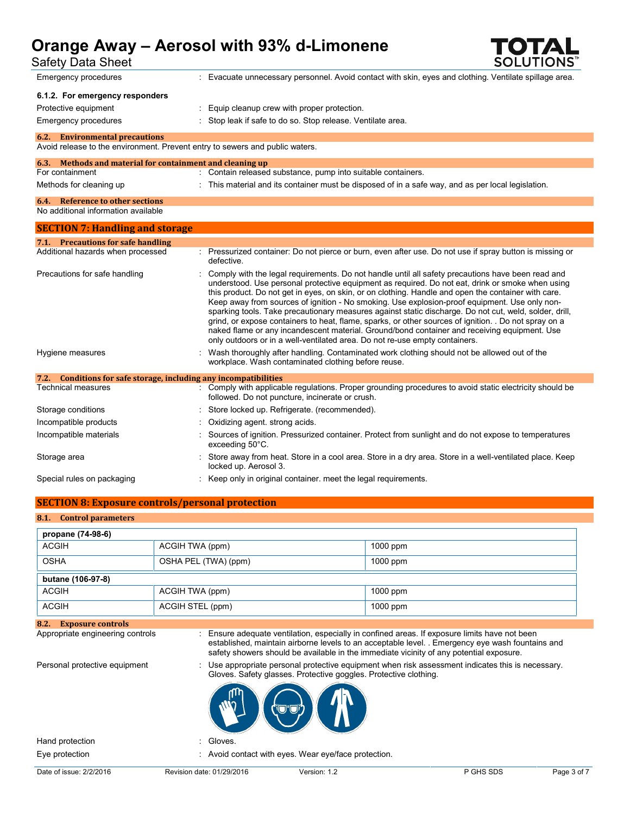Safety Data Sheet

| ouivit Duiu Viivvi<br>Emergency procedures                                                                            | : Evacuate unnecessary personnel. Avoid contact with skin, eyes and clothing. Ventilate spillage area.                                                                                                                                                                                                                                                                                                                                                                                                                                                                                                                                                                                                                                                                                                          |  |  |  |
|-----------------------------------------------------------------------------------------------------------------------|-----------------------------------------------------------------------------------------------------------------------------------------------------------------------------------------------------------------------------------------------------------------------------------------------------------------------------------------------------------------------------------------------------------------------------------------------------------------------------------------------------------------------------------------------------------------------------------------------------------------------------------------------------------------------------------------------------------------------------------------------------------------------------------------------------------------|--|--|--|
| 6.1.2. For emergency responders                                                                                       |                                                                                                                                                                                                                                                                                                                                                                                                                                                                                                                                                                                                                                                                                                                                                                                                                 |  |  |  |
| Protective equipment                                                                                                  | Equip cleanup crew with proper protection.                                                                                                                                                                                                                                                                                                                                                                                                                                                                                                                                                                                                                                                                                                                                                                      |  |  |  |
| Emergency procedures                                                                                                  | Stop leak if safe to do so. Stop release. Ventilate area.                                                                                                                                                                                                                                                                                                                                                                                                                                                                                                                                                                                                                                                                                                                                                       |  |  |  |
|                                                                                                                       |                                                                                                                                                                                                                                                                                                                                                                                                                                                                                                                                                                                                                                                                                                                                                                                                                 |  |  |  |
| <b>6.2.</b> Environmental precautions<br>Avoid release to the environment. Prevent entry to sewers and public waters. |                                                                                                                                                                                                                                                                                                                                                                                                                                                                                                                                                                                                                                                                                                                                                                                                                 |  |  |  |
| 6.3. Methods and material for containment and cleaning up                                                             |                                                                                                                                                                                                                                                                                                                                                                                                                                                                                                                                                                                                                                                                                                                                                                                                                 |  |  |  |
| For containment                                                                                                       | : Contain released substance, pump into suitable containers.                                                                                                                                                                                                                                                                                                                                                                                                                                                                                                                                                                                                                                                                                                                                                    |  |  |  |
| Methods for cleaning up                                                                                               | This material and its container must be disposed of in a safe way, and as per local legislation.                                                                                                                                                                                                                                                                                                                                                                                                                                                                                                                                                                                                                                                                                                                |  |  |  |
| <b>6.4.</b> Reference to other sections                                                                               |                                                                                                                                                                                                                                                                                                                                                                                                                                                                                                                                                                                                                                                                                                                                                                                                                 |  |  |  |
| No additional information available                                                                                   |                                                                                                                                                                                                                                                                                                                                                                                                                                                                                                                                                                                                                                                                                                                                                                                                                 |  |  |  |
| <b>SECTION 7: Handling and storage</b>                                                                                |                                                                                                                                                                                                                                                                                                                                                                                                                                                                                                                                                                                                                                                                                                                                                                                                                 |  |  |  |
| 7.1. Precautions for safe handling                                                                                    |                                                                                                                                                                                                                                                                                                                                                                                                                                                                                                                                                                                                                                                                                                                                                                                                                 |  |  |  |
| Additional hazards when processed                                                                                     | : Pressurized container: Do not pierce or burn, even after use. Do not use if spray button is missing or<br>defective.                                                                                                                                                                                                                                                                                                                                                                                                                                                                                                                                                                                                                                                                                          |  |  |  |
| Precautions for safe handling                                                                                         | Comply with the legal requirements. Do not handle until all safety precautions have been read and<br>understood. Use personal protective equipment as required. Do not eat, drink or smoke when using<br>this product. Do not get in eyes, on skin, or on clothing. Handle and open the container with care.<br>Keep away from sources of ignition - No smoking. Use explosion-proof equipment. Use only non-<br>sparking tools. Take precautionary measures against static discharge. Do not cut, weld, solder, drill,<br>grind, or expose containers to heat, flame, sparks, or other sources of ignition. . Do not spray on a<br>naked flame or any incandescent material. Ground/bond container and receiving equipment. Use<br>only outdoors or in a well-ventilated area. Do not re-use empty containers. |  |  |  |
| Hygiene measures                                                                                                      | Wash thoroughly after handling. Contaminated work clothing should not be allowed out of the<br>workplace. Wash contaminated clothing before reuse.                                                                                                                                                                                                                                                                                                                                                                                                                                                                                                                                                                                                                                                              |  |  |  |
| 7.2. Conditions for safe storage, including any incompatibilities                                                     |                                                                                                                                                                                                                                                                                                                                                                                                                                                                                                                                                                                                                                                                                                                                                                                                                 |  |  |  |
| <b>Technical measures</b>                                                                                             | : Comply with applicable regulations. Proper grounding procedures to avoid static electricity should be<br>followed. Do not puncture, incinerate or crush.                                                                                                                                                                                                                                                                                                                                                                                                                                                                                                                                                                                                                                                      |  |  |  |
| Storage conditions                                                                                                    | Store locked up. Refrigerate. (recommended).                                                                                                                                                                                                                                                                                                                                                                                                                                                                                                                                                                                                                                                                                                                                                                    |  |  |  |
| Incompatible products                                                                                                 | Oxidizing agent. strong acids.                                                                                                                                                                                                                                                                                                                                                                                                                                                                                                                                                                                                                                                                                                                                                                                  |  |  |  |
| Incompatible materials                                                                                                | Sources of ignition. Pressurized container. Protect from sunlight and do not expose to temperatures<br>exceeding 50°C.                                                                                                                                                                                                                                                                                                                                                                                                                                                                                                                                                                                                                                                                                          |  |  |  |
| Storage area                                                                                                          | Store away from heat. Store in a cool area. Store in a dry area. Store in a well-ventilated place. Keep<br>locked up. Aerosol 3.                                                                                                                                                                                                                                                                                                                                                                                                                                                                                                                                                                                                                                                                                |  |  |  |
| Special rules on packaging                                                                                            | Keep only in original container. meet the legal requirements.                                                                                                                                                                                                                                                                                                                                                                                                                                                                                                                                                                                                                                                                                                                                                   |  |  |  |
| <b>SECTION 8: Exposure controls/personal protection</b>                                                               |                                                                                                                                                                                                                                                                                                                                                                                                                                                                                                                                                                                                                                                                                                                                                                                                                 |  |  |  |
|                                                                                                                       |                                                                                                                                                                                                                                                                                                                                                                                                                                                                                                                                                                                                                                                                                                                                                                                                                 |  |  |  |
| <b>Control parameters</b><br>8.1.                                                                                     |                                                                                                                                                                                                                                                                                                                                                                                                                                                                                                                                                                                                                                                                                                                                                                                                                 |  |  |  |
| propane (74-98-6)                                                                                                     |                                                                                                                                                                                                                                                                                                                                                                                                                                                                                                                                                                                                                                                                                                                                                                                                                 |  |  |  |

| propane (74-98-6) |                      |            |
|-------------------|----------------------|------------|
| <b>ACGIH</b>      | ACGIH TWA (ppm)      | $1000$ ppm |
| <b>OSHA</b>       | OSHA PEL (TWA) (ppm) | $1000$ ppm |
| butane (106-97-8) |                      |            |
| <b>ACGIH</b>      | ACGIH TWA (ppm)      | $1000$ ppm |
| <b>ACGIH</b>      | ACGIH STEL (ppm)     | $1000$ ppm |

## **8.2. Exposure controls**

: Ensure adequate ventilation, especially in confined areas. If exposure limits have not been established, maintain airborne levels to an acceptable level. . Emergency eye wash fountains and safety showers should be available in the immediate vicinity of any potential exposure.

Personal protective equipment : Use appropriate personal protective equipment when risk assessment indicates this is necessary. Gloves. Safety glasses. Protective goggles. Protective clothing.



Eye protection : Avoid contact with eyes. Wear eye/face protection.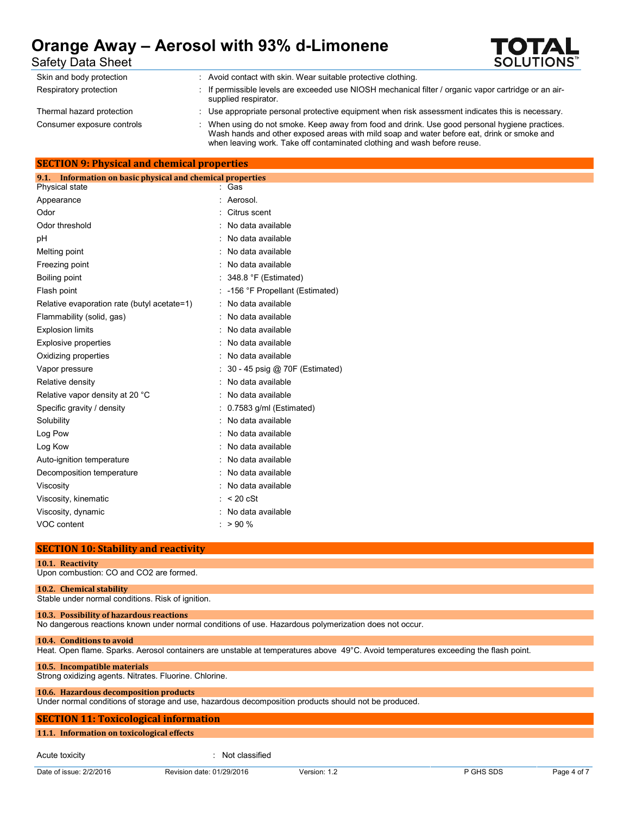

Safety Data Sheet

| Skin and body protection   | Avoid contact with skin. Wear suitable protective clothing.                                                                                                                                                                                                            |
|----------------------------|------------------------------------------------------------------------------------------------------------------------------------------------------------------------------------------------------------------------------------------------------------------------|
| Respiratory protection     | If permissible levels are exceeded use NIOSH mechanical filter / organic vapor cartridge or an air-<br>supplied respirator.                                                                                                                                            |
| Thermal hazard protection  | Use appropriate personal protective equipment when risk assessment indicates this is necessary.                                                                                                                                                                        |
| Consumer exposure controls | When using do not smoke. Keep away from food and drink. Use good personal hygiene practices.<br>Wash hands and other exposed areas with mild soap and water before eat, drink or smoke and<br>when leaving work. Take off contaminated clothing and wash before reuse. |

### **SECTION 9: Physical and chemical properties**

| 9.1.<br>Information on basic physical and chemical properties |                                |
|---------------------------------------------------------------|--------------------------------|
| Physical state                                                | Gas                            |
| Appearance                                                    | Aerosol.                       |
| Odor                                                          | Citrus scent                   |
| Odor threshold                                                | No data available              |
| рH                                                            | No data available              |
| Melting point                                                 | No data available              |
| Freezing point                                                | No data available              |
| Boiling point                                                 | 348.8 °F (Estimated)           |
| Flash point                                                   | -156 °F Propellant (Estimated) |
| Relative evaporation rate (butyl acetate=1)                   | No data available              |
| Flammability (solid, gas)                                     | No data available              |
| <b>Explosion limits</b>                                       | No data available              |
| <b>Explosive properties</b>                                   | No data available              |
| Oxidizing properties                                          | No data available              |
| Vapor pressure                                                | 30 - 45 psig @ 70F (Estimated) |
| Relative density                                              | No data available              |
| Relative vapor density at 20 °C                               | No data available              |
| Specific gravity / density                                    | 0.7583 g/ml (Estimated)        |
| Solubility                                                    | No data available              |
| Log Pow                                                       | No data available              |
| Log Kow                                                       | No data available              |
| Auto-ignition temperature                                     | No data available              |
| Decomposition temperature                                     | No data available              |
| Viscosity                                                     | No data available              |
| Viscosity, kinematic                                          | $< 20$ cSt                     |
| Viscosity, dynamic                                            | No data available              |
| VOC content                                                   | >90%                           |
|                                                               |                                |

### **SECTION 10: Stability and reactivity**

#### **10.1. Reactivity**

Upon combustion: CO and CO2 are formed.

#### **10.2. Chemical stability**

Stable under normal conditions. Risk of ignition.

#### **10.3. Possibility of hazardous reactions**

No dangerous reactions known under normal conditions of use. Hazardous polymerization does not occur.

#### **10.4. Conditions to avoid**

Heat. Open flame. Sparks. Aerosol containers are unstable at temperatures above 49°C. Avoid temperatures exceeding the flash point.

#### **10.5. Incompatible materials**

Strong oxidizing agents. Nitrates. Fluorine. Chlorine.

#### **10.6. Hazardous decomposition products**

Under normal conditions of storage and use, hazardous decomposition products should not be produced.

### **SECTION 11: Toxicological information**

#### **11.1. Information on toxicological effects**

Acute toxicity in the contract of the contract of the contract of the contract of the contract of the contract of the contract of the contract of the contract of the contract of the contract of the contract of the contract

Date of issue: 2/2/2016 Revision date: 01/29/2016 Version: 1.2 P GHS SDS Page 4 of 7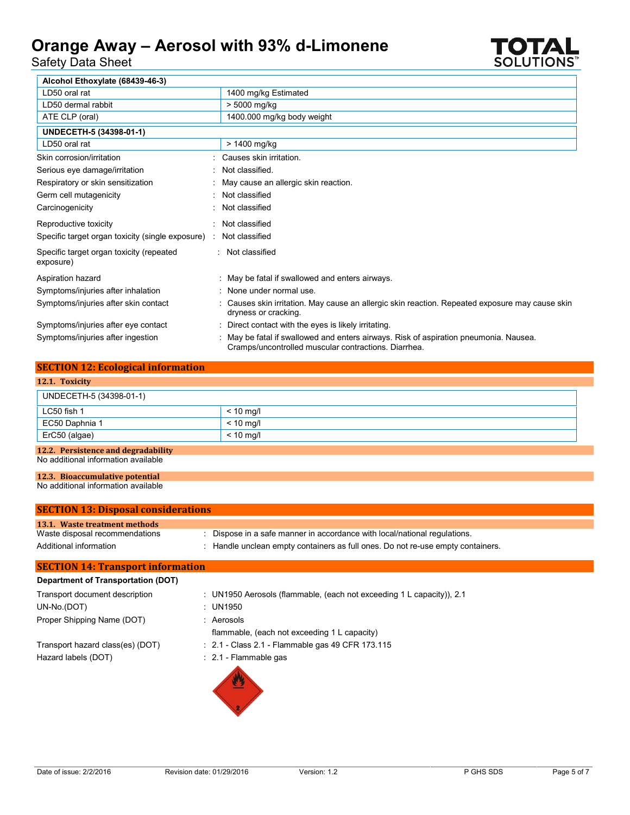Safety Data Sheet



| Alcohol Ethoxylate (68439-46-3)                       |                                                                                                                                             |
|-------------------------------------------------------|---------------------------------------------------------------------------------------------------------------------------------------------|
| LD50 oral rat                                         | 1400 mg/kg Estimated                                                                                                                        |
| LD50 dermal rabbit                                    | > 5000 mg/kg                                                                                                                                |
| ATE CLP (oral)                                        | 1400.000 mg/kg body weight                                                                                                                  |
| UNDECETH-5 (34398-01-1)                               |                                                                                                                                             |
| LD50 oral rat                                         | > 1400 mg/kg                                                                                                                                |
| Skin corrosion/irritation                             | Causes skin irritation.                                                                                                                     |
| Serious eye damage/irritation                         | Not classified.                                                                                                                             |
| Respiratory or skin sensitization                     | May cause an allergic skin reaction.                                                                                                        |
| Germ cell mutagenicity                                | Not classified                                                                                                                              |
| Carcinogenicity                                       | Not classified                                                                                                                              |
| Reproductive toxicity                                 | Not classified                                                                                                                              |
| Specific target organ toxicity (single exposure) :    | Not classified                                                                                                                              |
| Specific target organ toxicity (repeated<br>exposure) | : Not classified                                                                                                                            |
| Aspiration hazard                                     | : May be fatal if swallowed and enters airways.                                                                                             |
| Symptoms/injuries after inhalation                    | : None under normal use.                                                                                                                    |
| Symptoms/injuries after skin contact                  | Causes skin irritation. May cause an allergic skin reaction. Repeated exposure may cause skin<br>dryness or cracking.                       |
| Symptoms/injuries after eye contact                   | Direct contact with the eyes is likely irritating.                                                                                          |
| Symptoms/injuries after ingestion                     | May be fatal if swallowed and enters airways. Risk of aspiration pneumonia. Nausea.<br>Cramps/uncontrolled muscular contractions. Diarrhea. |

### **SECTION 12: Ecological information**

| 12.1. Toxicity          |             |  |
|-------------------------|-------------|--|
| UNDECETH-5 (34398-01-1) |             |  |
| LC50 fish 1             | $< 10$ mg/l |  |
| EC50 Daphnia 1          | $< 10$ mg/l |  |
| ErC50 (algae)           | $< 10$ mg/l |  |
|                         |             |  |

### **12.2. Persistence and degradability**

No additional information available

## **12.3. Bioaccumulative potential**

No additional information available

| <b>SECTION 13: Disposal considerations</b> |                                                                               |
|--------------------------------------------|-------------------------------------------------------------------------------|
| 13.1. Waste treatment methods              |                                                                               |
| Waste disposal recommendations             | Dispose in a safe manner in accordance with local/national regulations.       |
| Additional information                     | Handle unclean empty containers as full ones. Do not re-use empty containers. |
| <b>SECTION 14: Transport information</b>   |                                                                               |
| <b>Department of Transportation (DOT)</b>  |                                                                               |
| Transport document description             | : UN1950 Aerosols (flammable, (each not exceeding 1 L capacity)), 2.1         |
| UN-No.(DOT)                                | : UN1950                                                                      |
| Proper Shipping Name (DOT)                 | Aerosols                                                                      |
|                                            | flammable, (each not exceeding 1 L capacity)                                  |
| Transport hazard class(es) (DOT)           | $\div$ 2.1 - Class 2.1 - Flammable gas 49 CFR 173.115                         |
| Hazard labels (DOT)                        | $: 2.1$ - Flammable gas                                                       |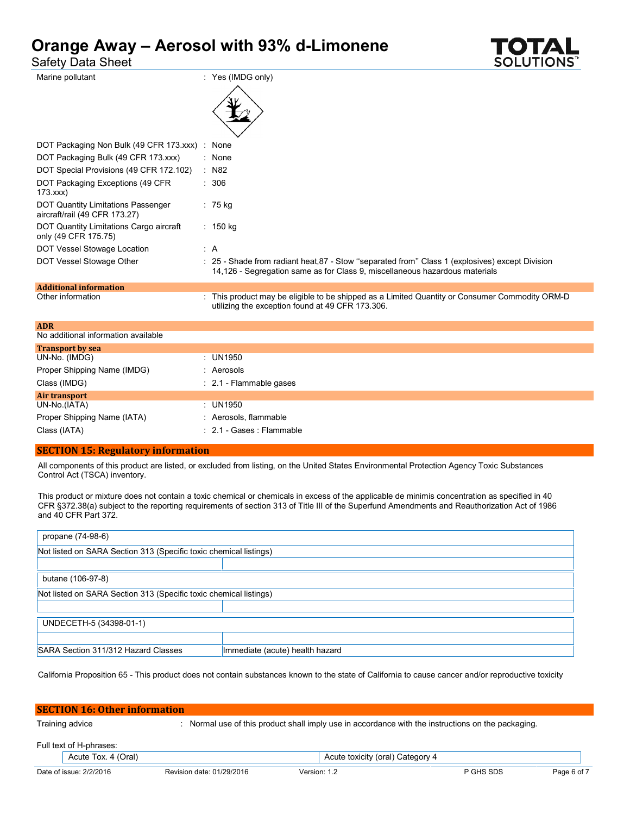| Safety Data Sheet                                                   |                                                                                                                                                                                | <b>SOLUTIONS</b> |
|---------------------------------------------------------------------|--------------------------------------------------------------------------------------------------------------------------------------------------------------------------------|------------------|
| Marine pollutant                                                    | : Yes (IMDG only)                                                                                                                                                              |                  |
| DOT Packaging Non Bulk (49 CFR 173.xxx) : None                      |                                                                                                                                                                                |                  |
| DOT Packaging Bulk (49 CFR 173.xxx)                                 | : None                                                                                                                                                                         |                  |
| DOT Special Provisions (49 CFR 172.102)                             | $:$ N82                                                                                                                                                                        |                  |
| DOT Packaging Exceptions (49 CFR<br>173.xxx                         | : 306                                                                                                                                                                          |                  |
| DOT Quantity Limitations Passenger<br>aircraft/rail (49 CFR 173.27) | : 75 kg                                                                                                                                                                        |                  |
| DOT Quantity Limitations Cargo aircraft<br>only (49 CFR 175.75)     | : $150 \text{ kg}$                                                                                                                                                             |                  |
| DOT Vessel Stowage Location                                         | : A                                                                                                                                                                            |                  |
| DOT Vessel Stowage Other                                            | : 25 - Shade from radiant heat, 87 - Stow "separated from" Class 1 (explosives) except Division<br>14,126 - Segregation same as for Class 9, miscellaneous hazardous materials |                  |
| <b>Additional information</b>                                       |                                                                                                                                                                                |                  |
| Other information                                                   | . This product may be eligible to be shipped as a Limited Quantity or Consumer Commodity ORM-D<br>utilizing the exception found at 49 CFR 173.306.                             |                  |

| <b>ADR</b>                          |                                           |
|-------------------------------------|-------------------------------------------|
| No additional information available |                                           |
| <b>Transport by sea</b>             |                                           |
| UN-No. (IMDG)                       | : UN1950                                  |
| Proper Shipping Name (IMDG)         | Aerosols                                  |
| Class (IMDG)                        | $\therefore$ 2.1 - Flammable gases        |
| Air transport                       |                                           |
| UN-No.(IATA)                        | : UN1950                                  |
| Proper Shipping Name (IATA)         | Aerosols, flammable                       |
|                                     | $: 2.1 - \text{Gases} : \text{Flammable}$ |
| Class (IATA)                        |                                           |

#### **SECTION 15: Regulatory information**

All components of this product are listed, or excluded from listing, on the United States Environmental Protection Agency Toxic Substances Control Act (TSCA) inventory.

This product or mixture does not contain a toxic chemical or chemicals in excess of the applicable de minimis concentration as specified in 40 CFR §372.38(a) subject to the reporting requirements of section 313 of Title III of the Superfund Amendments and Reauthorization Act of 1986 and 40 CFR Part 372.

| propane (74-98-6)                                                 |                                 |  |  |  |
|-------------------------------------------------------------------|---------------------------------|--|--|--|
| Not listed on SARA Section 313 (Specific toxic chemical listings) |                                 |  |  |  |
|                                                                   |                                 |  |  |  |
| butane (106-97-8)                                                 |                                 |  |  |  |
| Not listed on SARA Section 313 (Specific toxic chemical listings) |                                 |  |  |  |
|                                                                   |                                 |  |  |  |
| UNDECETH-5 (34398-01-1)                                           |                                 |  |  |  |
|                                                                   |                                 |  |  |  |
| SARA Section 311/312 Hazard Classes                               | Immediate (acute) health hazard |  |  |  |

California Proposition 65 - This product does not contain substances known to the state of California to cause cancer and/or reproductive toxicity

| <b>SECTION 16: Other information</b> |                                                                                                                       |  |                                  |  |
|--------------------------------------|-----------------------------------------------------------------------------------------------------------------------|--|----------------------------------|--|
|                                      | : Normal use of this product shall imply use in accordance with the instructions on the packaging.<br>Training advice |  |                                  |  |
| Full text of H-phrases:              |                                                                                                                       |  |                                  |  |
|                                      | Acute Tox. 4 (Oral)                                                                                                   |  | Acute toxicity (oral) Category 4 |  |